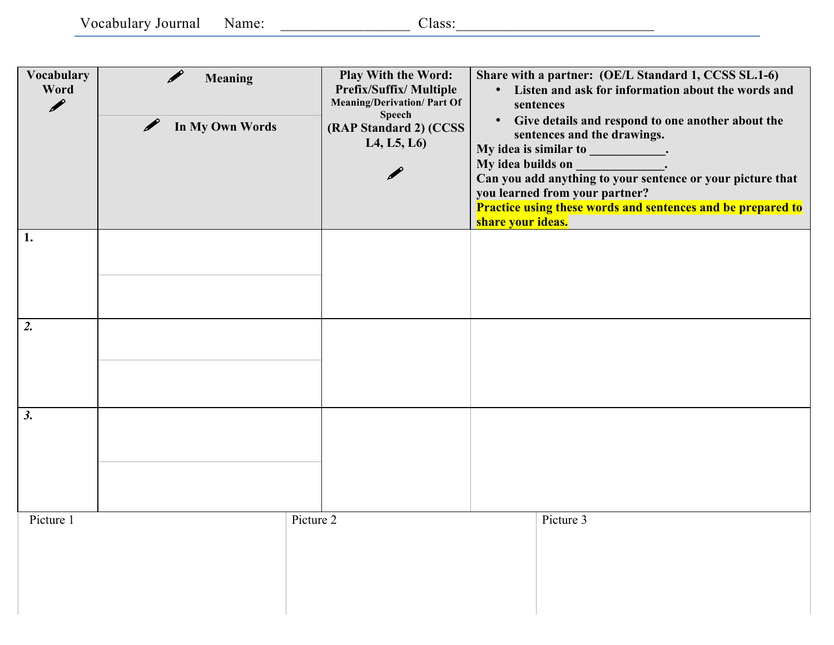Vocabulary Journal Name: \_\_\_\_\_\_\_\_\_\_\_\_\_\_\_\_\_ Class:\_\_\_\_\_\_\_\_\_\_\_\_\_\_\_\_\_\_\_\_\_\_\_\_\_\_

| Vocabulary<br>Word<br>P | <b>Meaning</b><br>In My Own Words | Play With the Word:<br>Prefix/Suffix/ Multiple<br><b>Meaning/Derivation/ Part Of</b><br><b>Speech</b><br>(RAP Standard 2) (CCSS<br>L4, L5, L6 | Share with a partner: (OE/L Standard 1, CCSS SL.1-6)<br>• Listen and ask for information about the words and<br>sentences<br>• Give details and respond to one another about the<br>sentences and the drawings.<br>My idea is similar to ____________.<br>My idea builds on<br>Can you add anything to your sentence or your picture that<br>you learned from your partner?<br><b>Practice using these words and sentences and be prepared to</b><br>share your ideas. |
|-------------------------|-----------------------------------|-----------------------------------------------------------------------------------------------------------------------------------------------|------------------------------------------------------------------------------------------------------------------------------------------------------------------------------------------------------------------------------------------------------------------------------------------------------------------------------------------------------------------------------------------------------------------------------------------------------------------------|
| 1.                      |                                   |                                                                                                                                               |                                                                                                                                                                                                                                                                                                                                                                                                                                                                        |
| 2.                      |                                   |                                                                                                                                               |                                                                                                                                                                                                                                                                                                                                                                                                                                                                        |
| 3.                      |                                   |                                                                                                                                               |                                                                                                                                                                                                                                                                                                                                                                                                                                                                        |
| Picture 1               |                                   | Picture 2                                                                                                                                     | Picture 3                                                                                                                                                                                                                                                                                                                                                                                                                                                              |